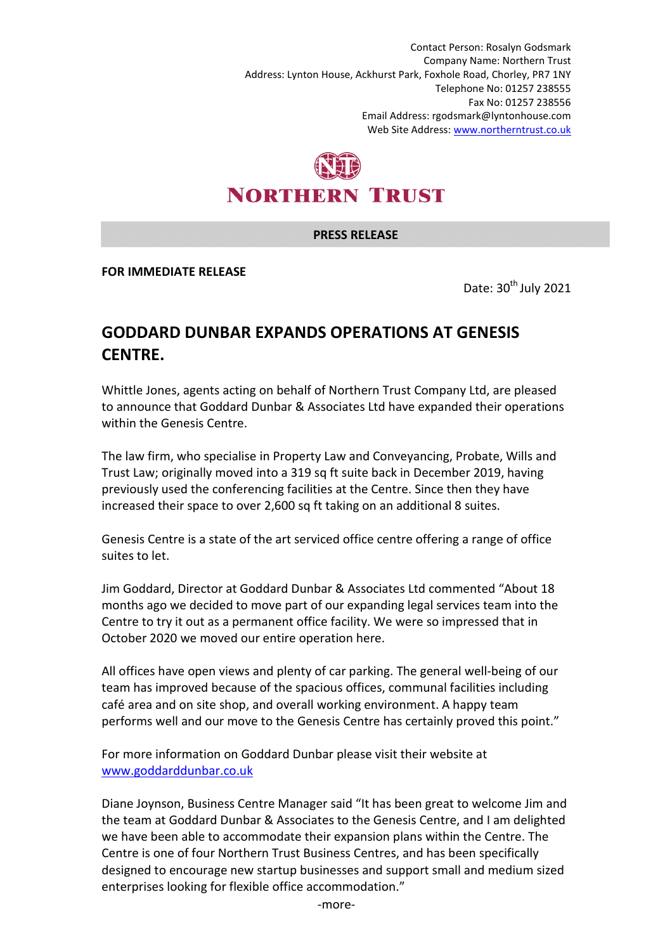Contact Person: Rosalyn Godsmark Company Name: Northern Trust Address: Lynton House, Ackhurst Park, Foxhole Road, Chorley, PR7 1NY Telephone No: 01257 238555 Fax No: 01257 238556 Email Address: rgodsmark@lyntonhouse.com Web Site Address: www.northerntrust.co.uk



## **PRESS RELEASE**

**FOR IMMEDIATE RELEASE** 

Date:  $30<sup>th</sup>$  July 2021

## **GODDARD DUNBAR EXPANDS OPERATIONS AT GENESIS CENTRE.**

Whittle Jones, agents acting on behalf of Northern Trust Company Ltd, are pleased to announce that Goddard Dunbar & Associates Ltd have expanded their operations within the Genesis Centre.

The law firm, who specialise in Property Law and Conveyancing, Probate, Wills and Trust Law; originally moved into a 319 sq ft suite back in December 2019, having previously used the conferencing facilities at the Centre. Since then they have increased their space to over 2,600 sq ft taking on an additional 8 suites.

Genesis Centre is a state of the art serviced office centre offering a range of office suites to let.

Jim Goddard, Director at Goddard Dunbar & Associates Ltd commented "About 18 months ago we decided to move part of our expanding legal services team into the Centre to try it out as a permanent office facility. We were so impressed that in October 2020 we moved our entire operation here.

All offices have open views and plenty of car parking. The general well-being of our team has improved because of the spacious offices, communal facilities including café area and on site shop, and overall working environment. A happy team performs well and our move to the Genesis Centre has certainly proved this point."

For more information on Goddard Dunbar please visit their website at www.goddarddunbar.co.uk

Diane Joynson, Business Centre Manager said "It has been great to welcome Jim and the team at Goddard Dunbar & Associates to the Genesis Centre, and I am delighted we have been able to accommodate their expansion plans within the Centre. The Centre is one of four Northern Trust Business Centres, and has been specifically designed to encourage new startup businesses and support small and medium sized enterprises looking for flexible office accommodation."